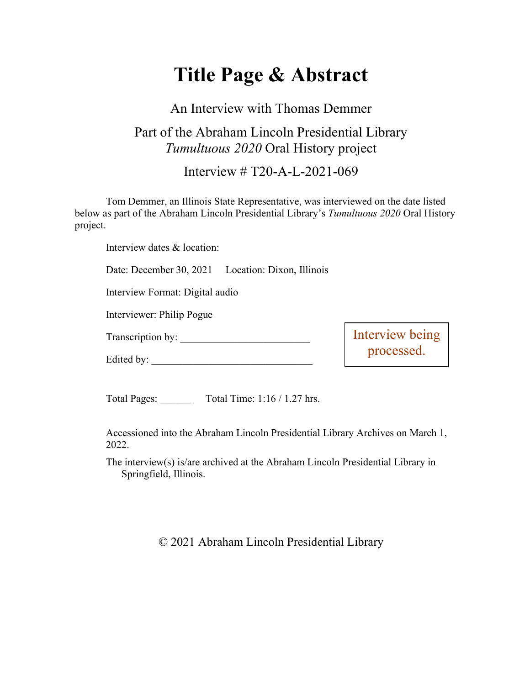# **Title Page & Abstract**

### An Interview with Thomas Demmer

## Part of the Abraham Lincoln Presidential Library *Tumultuous 2020* Oral History project

#### Interview # T20-A-L-2021-069

Tom Demmer, an Illinois State Representative, was interviewed on the date listed below as part of the Abraham Lincoln Presidential Library's *Tumultuous 2020* Oral History project.

Interview dates & location:

Date: December 30, 2021 Location: Dixon, Illinois

Interview Format: Digital audio

Interviewer: Philip Pogue

Transcription by: \_\_\_\_\_\_\_\_\_\_\_\_\_\_\_\_\_\_\_\_\_\_\_\_\_

Edited by:

Interview being processed.

Total Pages: Total Time: 1:16 / 1.27 hrs.

Accessioned into the Abraham Lincoln Presidential Library Archives on March 1, 2022.

The interview(s) is/are archived at the Abraham Lincoln Presidential Library in Springfield, Illinois.

© 2021 Abraham Lincoln Presidential Library